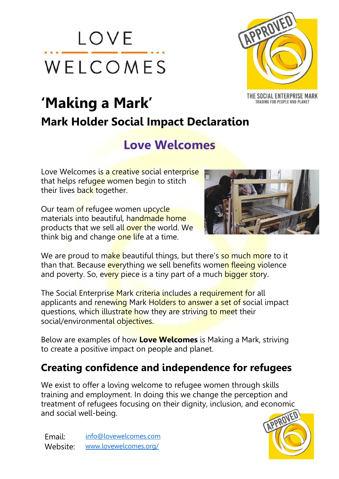



TRADING FOR PEOPLE AND PLANET

# **'Making a Mark' Mark Holder Social Impact Declaration**

## **Love Welcomes**

Love Welcomes is a creative social enterprise that helps refugee women begin to stitch their lives back together.

Our team of refugee women upcycle materials into beautiful, handmade home products that we sell all over the world. We think big and change one life at a time.



We are proud to make beautiful things, but there's so much more to it than that. Because everything we sell benefits women fleeing violence and poverty. So, every piece is a tiny part of a much bigger story.

The Social Enterprise Mark criteria includes a requirement for all applicants and renewing Mark Holders to answer a set of social impact questions, which illustrate how they are striving to meet their social/environmental objectives.

Below are examples of how **Love Welcomes** is Making a Mark, striving to create a positive impact on people and planet.

#### **Creating confidence and independence for refugees**

We exist to offer a loving welcome to refugee women through skills training and employment. In doing this we change the perception and treatment of refugees focusing on their dignity, inclusion, and economic and social well-being.



Email: [info@lovewelcomes.com](mailto:info@lovewelcomes.com) Website: [www.lovewelcomes.org/](https://www.lovewelcomes.org/)